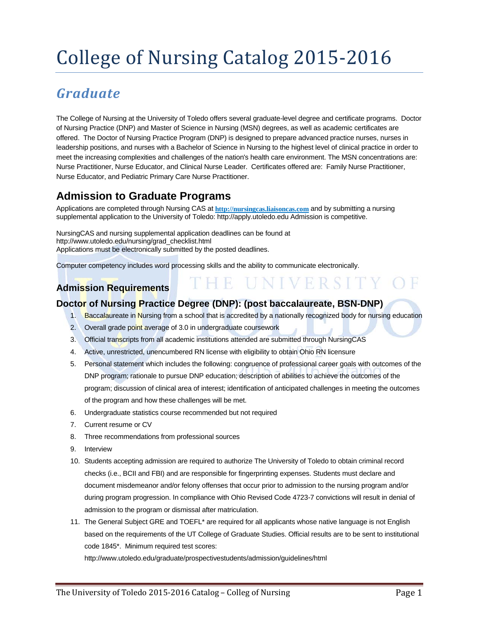# College of Nursing Catalog 2015-2016

# *Graduate*

The College of Nursing at the University of Toledo offers several graduate-level degree and certificate programs. Doctor of Nursing Practice (DNP) and Master of Science in Nursing (MSN) degrees, as well as academic certificates are offered. The Doctor of Nursing Practice Program (DNP) is designed to prepare advanced practice nurses, nurses in leadership positions, and nurses with a Bachelor of Science in Nursing to the highest level of clinical practice in order to meet the increasing complexities and challenges of the nation's health care environment. The MSN concentrations are: Nurse Practitioner, Nurse Educator, and Clinical Nurse Leader. Certificates offered are: Family Nurse Practitioner, Nurse Educator, and Pediatric Primary Care Nurse Practitioner.

# **Admission to Graduate Programs**

Applications are completed through Nursing CAS at **[http://nursingcas.liaisoncas.com](http://nursingcas.liaisoncas.com/)** and by submitting a nursing supplemental application to the University of Toledo[: http://apply.utoledo.edu A](http://apply.utoledo.edu/)dmission is competitive.

NursingCAS and nursing supplemental application deadlines can be found at [http://www.utoledo.edu/nursing/grad\\_checklist.html](http://www.utoledo.edu/nursing/grad_checklist.html) Applications must be electronically submitted by the posted deadlines.

Computer competency includes word processing skills and the ability to communicate electronically.

# **Admission Requirements**

#### **Doctor of Nursing Practice Degree (DNP): (post baccalaureate, BSN-DNP)**

1. Baccalaureate in Nursing from a school that is accredited by a nationally recognized body for nursing education

THE UNIVERSITY OF

- 2. Overall grade point average of 3.0 in undergraduate coursework
- 3. Official transcripts from all academic institutions attended are submitted through NursingCAS
- 4. Active, unrestricted, unencumbered RN license with eligibility to obtain Ohio RN licensure
- 5. Personal statement which includes the following: congruence of professional career goals with outcomes of the DNP program; rationale to pursue DNP education; description of abilities to achieve the outcomes of the program; discussion of clinical area of interest; identification of anticipated challenges in meeting the outcomes of the program and how these challenges will be met.
- 6. Undergraduate statistics course recommended but not required
- 7. Current resume or CV
- 8. Three recommendations from professional sources
- 9. Interview
- 10. Students accepting admission are required to authorize The University of Toledo to obtain criminal record checks (i.e., BCII and FBI) and are responsible for fingerprinting expenses. Students must declare and document misdemeanor and/or felony offenses that occur prior to admission to the nursing program and/or during program progression. In compliance with Ohio Revised Code 4723-7 convictions will result in denial of admission to the program or dismissal after matriculation.
- 11. The General Subject GRE and TOEFL\* are required for all applicants whose native language is not English based on the requirements of the UT College of Graduate Studies. Official results are to be sent to institutional code 1845\*. Minimum required test scores:

http://www.utoledo.edu/graduate/prospectivestudents/admission/guidelines/html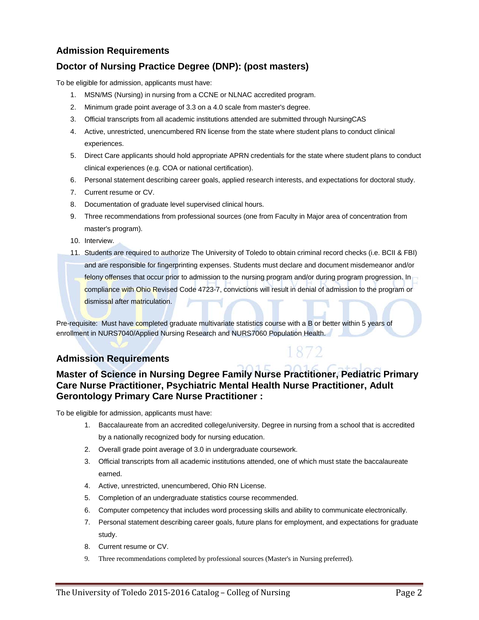#### **Admission Requirements**

#### **Doctor of Nursing Practice Degree (DNP): (post masters)**

To be eligible for admission, applicants must have:

- 1. MSN/MS (Nursing) in nursing from a CCNE or NLNAC accredited program.
- 2. Minimum grade point average of 3.3 on a 4.0 scale from master's degree.
- 3. Official transcripts from all academic institutions attended are submitted through NursingCAS
- 4. Active, unrestricted, unencumbered RN license from the state where student plans to conduct clinical experiences.
- 5. Direct Care applicants should hold appropriate APRN credentials for the state where student plans to conduct clinical experiences (e.g. COA or national certification).
- 6. Personal statement describing career goals, applied research interests, and expectations for doctoral study.
- 7. Current resume or CV.
- 8. Documentation of graduate level supervised clinical hours.
- 9. Three recommendations from professional sources (one from Faculty in Major area of concentration from master's program).
- 10. Interview.
- 11. Students are required to authorize The University of Toledo to obtain criminal record checks (i.e. BCII & FBI) and are responsible for fingerprinting expenses. Students must declare and document misdemeanor and/or felony offenses that occur prior to admission to the nursing program and/or during program progression. In compliance with Ohio Revised Code 4723-7, convictions will result in denial of admission to the program or dismissal after matriculation.

Pre-requisite: Must have completed graduate multivariate statistics course with a B or better within 5 years of enrollment in NURS7040/Applied Nursing Research and NURS7060 Population Health.

#### **Admission Requirements**

#### **Master of Science in Nursing Degree Family Nurse Practitioner, Pediatric Primary Care Nurse Practitioner, Psychiatric Mental Health Nurse Practitioner, Adult Gerontology Primary Care Nurse Practitioner :**

To be eligible for admission, applicants must have:

- 1. Baccalaureate from an accredited college/university. Degree in nursing from a school that is accredited by a nationally recognized body for nursing education.
- 2. Overall grade point average of 3.0 in undergraduate coursework.
- 3. Official transcripts from all academic institutions attended, one of which must state the baccalaureate earned.
- 4. Active, unrestricted, unencumbered, Ohio RN License.
- 5. Completion of an undergraduate statistics course recommended.
- 6. Computer competency that includes word processing skills and ability to communicate electronically.
- 7. Personal statement describing career goals, future plans for employment, and expectations for graduate study.
- 8. Current resume or CV.
- 9. Three recommendations completed by professional sources (Master's in Nursing preferred).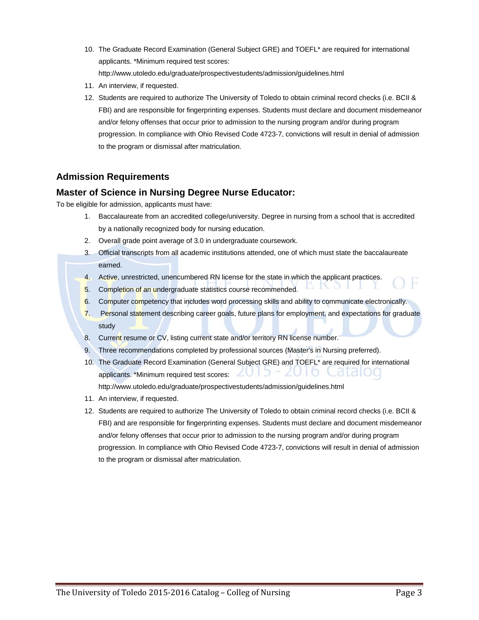- 10. The Graduate Record Examination (General Subject GRE) and TOEFL\* are required for international applicants. \*Minimum required test scores: <http://www.utoledo.edu/graduate/prospectivestudents/admission/guidelines.html>
- 11. An interview, if requested.
- 12. Students are required to authorize The University of Toledo to obtain criminal record checks (i.e. BCII & FBI) and are responsible for fingerprinting expenses. Students must declare and document misdemeanor and/or felony offenses that occur prior to admission to the nursing program and/or during program progression. In compliance with Ohio Revised Code 4723-7, convictions will result in denial of admission to the program or dismissal after matriculation.

#### **Admission Requirements**

#### **Master of Science in Nursing Degree Nurse Educator:**

To be eligible for admission, applicants must have:

- 1. Baccalaureate from an accredited college/university. Degree in nursing from a school that is accredited by a nationally recognized body for nursing education.
- 2. Overall grade point average of 3.0 in undergraduate coursework.
- 3. Official transcripts from all academic institutions attended, one of which must state the baccalaureate earned.
- 4. Active, unrestricted, unencumbered RN license for the state in which the applicant practices.
- 5. Completion of an undergraduate statistics course recommended.
- 6. Computer competency that includes word processing skills and ability to communicate electronically.
- 7. Personal statement describing career goals, future plans for employment, and expectations for graduate study

 $\sqrt{2}$ 

- 8. Current resume or CV, listing current state and/or territory RN license number.
- 9. Three recommendations completed by professional sources (Master's in Nursing preferred).
- 10. The Graduate Record Examination (General Subject GRE) and TOEFL\* are required for international ZU I O K didiog applicants. \*Minimum required test scores:  $\angle \Box$ 
	- <http://www.utoledo.edu/graduate/prospectivestudents/admission/guidelines.html>
- 11. An interview, if requested.
- 12. Students are required to authorize The University of Toledo to obtain criminal record checks (i.e. BCII & FBI) and are responsible for fingerprinting expenses. Students must declare and document misdemeanor and/or felony offenses that occur prior to admission to the nursing program and/or during program progression. In compliance with Ohio Revised Code 4723-7, convictions will result in denial of admission to the program or dismissal after matriculation.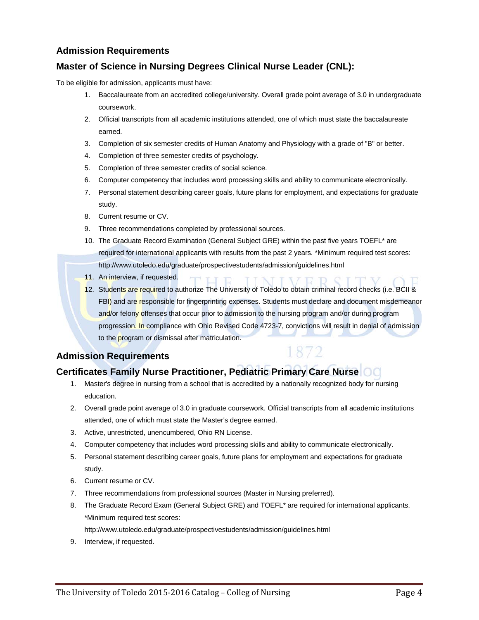#### **Admission Requirements**

#### **Master of Science in Nursing Degrees Clinical Nurse Leader (CNL):**

To be eligible for admission, applicants must have:

- 1. Baccalaureate from an accredited college/university. Overall grade point average of 3.0 in undergraduate coursework.
- 2. Official transcripts from all academic institutions attended, one of which must state the baccalaureate earned.
- 3. Completion of six semester credits of Human Anatomy and Physiology with a grade of "B" or better.
- 4. Completion of three semester credits of psychology.
- 5. Completion of three semester credits of social science.
- 6. Computer competency that includes word processing skills and ability to communicate electronically.
- 7. Personal statement describing career goals, future plans for employment, and expectations for graduate study.
- 8. Current resume or CV.
- 9. Three recommendations completed by professional sources.
- 10. The Graduate Record Examination (General Subject GRE) within the past five years TOEFL\* are required for international applicants with results from the past 2 years. \*Minimum required test scores: <http://www.utoledo.edu/graduate/prospectivestudents/admission/guidelines.html>
- 11. An interview, if requested.
- 12. Students are required to authorize The University of Toledo to obtain criminal record checks (i.e. BCII & FBI) and are responsible for fingerprinting expenses. Students must declare and document misdemeanor and/or felony offenses that occur prior to admission to the nursing program and/or during program progression. In compliance with Ohio Revised Code 4723-7, convictions will result in denial of admission to the program or dismissal after matriculation.

1872

#### **Admission Requirements**

# **Certificates Family Nurse Practitioner, Pediatric Primary Care Nurse**

- 1. Master's degree in nursing from a school that is accredited by a nationally recognized body for nursing education.
- 2. Overall grade point average of 3.0 in graduate coursework. Official transcripts from all academic institutions attended, one of which must state the Master's degree earned.
- 3. Active, unrestricted, unencumbered, Ohio RN License.
- 4. Computer competency that includes word processing skills and ability to communicate electronically.
- 5. Personal statement describing career goals, future plans for employment and expectations for graduate study.
- 6. Current resume or CV.
- 7. Three recommendations from professional sources (Master in Nursing preferred).
- 8. The Graduate Record Exam (General Subject GRE) and TOEFL\* are required for international applicants. \*Minimum required test scores:

<http://www.utoledo.edu/graduate/prospectivestudents/admission/guidelines.html>

9. Interview, if requested.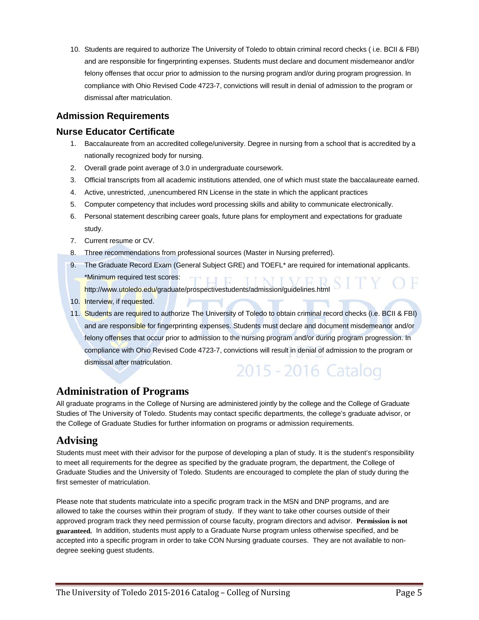10. Students are required to authorize The University of Toledo to obtain criminal record checks ( i.e. BCII & FBI) and are responsible for fingerprinting expenses. Students must declare and document misdemeanor and/or felony offenses that occur prior to admission to the nursing program and/or during program progression. In compliance with Ohio Revised Code 4723-7, convictions will result in denial of admission to the program or dismissal after matriculation.

#### **Admission Requirements**

#### **Nurse Educator Certificate**

- 1. Baccalaureate from an accredited college/university. Degree in nursing from a school that is accredited by a nationally recognized body for nursing.
- 2. Overall grade point average of 3.0 in undergraduate coursework.
- 3. Official transcripts from all academic institutions attended, one of which must state the baccalaureate earned.
- 4. Active, unrestricted, ,unencumbered RN License in the state in which the applicant practices
- 5. Computer competency that includes word processing skills and ability to communicate electronically.
- 6. Personal statement describing career goals, future plans for employment and expectations for graduate study.
- 7. Current resume or CV.
- 8. Three recommendations from professional sources (Master in Nursing preferred).
- 9. The Graduate Record Exam (General Subject GRE) and TOEFL<sup>\*</sup> are required for international applicants. \*Minimum required test scores:

<http://www.utoledo.edu/graduate/prospectivestudents/admission/guidelines.html>

- 10. Interview, if requested.
- 11. Students are required to authorize The University of Toledo to obtain criminal record checks (i.e. BCII & FBI) and are responsible for fingerprinting expenses. Students must declare and document misdemeanor and/or felony offenses that occur prior to admission to the nursing program and/or during program progression. In compliance with Ohio Revised Code 4723-7, convictions will result in denial of admission to the program or dismissal after matriculation. 2015 - 2016 Catalog

# **Administration of Programs**

All graduate programs in the College of Nursing are administered jointly by the college and the College of Graduate Studies of The University of Toledo. Students may contact specific departments, the college's graduate advisor, or the College of Graduate Studies for further information on programs or admission requirements.

#### **Advising**

Students must meet with their advisor for the purpose of developing a plan of study. It is the student's responsibility to meet all requirements for the degree as specified by the graduate program, the department, the College of Graduate Studies and the University of Toledo. Students are encouraged to complete the plan of study during the first semester of matriculation.

Please note that students matriculate into a specific program track in the MSN and DNP programs, and are allowed to take the courses within their program of study. If they want to take other courses outside of their approved program track they need permission of course faculty, program directors and advisor. **Permission is not guaranteed.** In addition, students must apply to a Graduate Nurse program unless otherwise specified, and be accepted into a specific program in order to take CON Nursing graduate courses. They are not available to nondegree seeking guest students.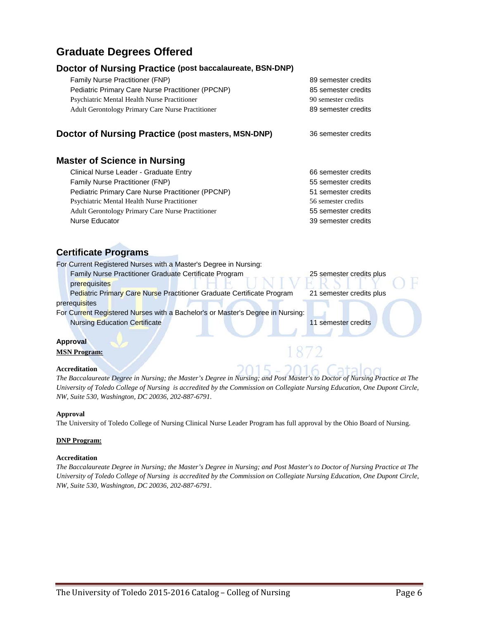# **Graduate Degrees Offered**

#### **Doctor of Nursing Practice (post baccalaureate, BSN-DNP)**

| <b>Family Nurse Practitioner (FNP)</b>                   | 89 semester credits |
|----------------------------------------------------------|---------------------|
| Pediatric Primary Care Nurse Practitioner (PPCNP)        | 85 semester credits |
| Psychiatric Mental Health Nurse Practitioner             | 90 semester credits |
| <b>Adult Gerontology Primary Care Nurse Practitioner</b> | 89 semester credits |
|                                                          |                     |
|                                                          |                     |

**Doctor of Nursing Practice (post masters, MSN-DNP)** 36 semester credits

#### **Master of Science in Nursing**

| Clinical Nurse Leader - Graduate Entry                   | 66 semester credits |
|----------------------------------------------------------|---------------------|
| <b>Family Nurse Practitioner (FNP)</b>                   | 55 semester credits |
| Pediatric Primary Care Nurse Practitioner (PPCNP)        | 51 semester credits |
| <b>Psychiatric Mental Health Nurse Practitioner</b>      | 56 semester credits |
| <b>Adult Gerontology Primary Care Nurse Practitioner</b> | 55 semester credits |
| Nurse Educator                                           | 39 semester credits |

#### **Certificate Programs**

| For Current Registered Nurses with a Master's Degree in Nursing:               |                          |  |
|--------------------------------------------------------------------------------|--------------------------|--|
| Family Nurse Practitioner Graduate Certificate Program                         | 25 semester credits plus |  |
| prerequisites                                                                  |                          |  |
| Pediatric Primary Care Nurse Practitioner Graduate Certificate Program         | 21 semester credits plus |  |
| prerequisites                                                                  |                          |  |
| For Current Registered Nurses with a Bachelor's or Master's Degree in Nursing: |                          |  |
| <b>Nursing Education Certificate</b>                                           | 11 semester credits      |  |
|                                                                                |                          |  |

#### **Approval MSN Program:**

#### **Accreditation**

*The Baccalaureate Degree in Nursing; the Master's Degree in Nursing; and Post Master's to Doctor of Nursing Practice at The University of Toledo College of Nursing is accredited by the Commission on Collegiate Nursing Education, One Dupont Circle, NW, Suite 530, Washington, DC 20036, 202-887-6791.*

#### **Approval**

The University of Toledo College of Nursing Clinical Nurse Leader Program has full approval by the Ohio Board of Nursing.

#### **DNP Program:**

#### **Accreditation**

*The Baccalaureate Degree in Nursing; the Master's Degree in Nursing; and Post Master's to Doctor of Nursing Practice at The University of Toledo College of Nursing is accredited by the Commission on Collegiate Nursing Education, One Dupont Circle, NW, Suite 530, Washington, DC 20036, 202-887-6791.*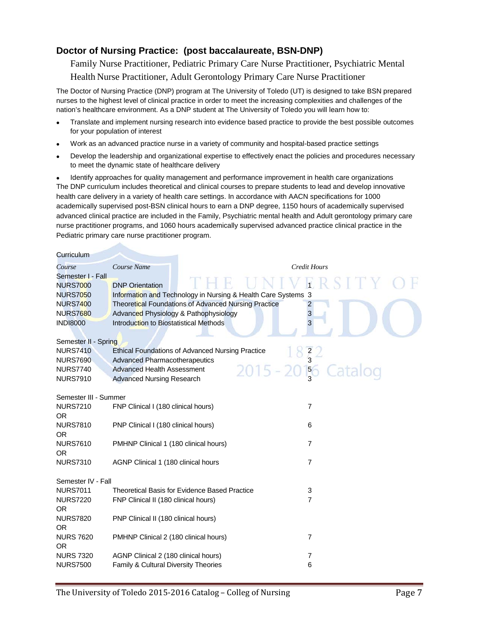#### **Doctor of Nursing Practice: (post baccalaureate, BSN-DNP)**

Family Nurse Practitioner, Pediatric Primary Care Nurse Practitioner, Psychiatric Mental Health Nurse Practitioner, Adult Gerontology Primary Care Nurse Practitioner

The Doctor of Nursing Practice (DNP) program at The University of Toledo (UT) is designed to take BSN prepared nurses to the highest level of clinical practice in order to meet the increasing complexities and challenges of the nation's healthcare environment. As a DNP student at The University of Toledo you will learn how to:

- Translate and implement nursing research into evidence based practice to provide the best possible outcomes for your population of interest
- Work as an advanced practice nurse in a variety of community and hospital-based practice settings
- Develop the leadership and organizational expertise to effectively enact the policies and procedures necessary to meet the dynamic state of healthcare delivery

• Identify approaches for quality management and performance improvement in health care organizations The DNP curriculum includes theoretical and clinical courses to prepare students to lead and develop innovative health care delivery in a variety of health care settings. In accordance with AACN specifications for 1000 academically supervised post-BSN clinical hours to earn a DNP degree, 1150 hours of academically supervised advanced clinical practice are included in the Family, Psychiatric mental health and Adult gerontology primary care nurse practitioner programs, and 1060 hours academically supervised advanced practice clinical practice in the Pediatric primary care nurse practitioner program.

| Curriculum            |                                        |                                                               |                     |
|-----------------------|----------------------------------------|---------------------------------------------------------------|---------------------|
| Course                | Course Name                            |                                                               | <b>Credit Hours</b> |
| Semester I - Fall     |                                        |                                                               |                     |
| <b>NURS7000</b>       | <b>DNP Orientation</b>                 |                                                               |                     |
| <b>NURS7050</b>       |                                        | Information and Technology in Nursing & Health Care Systems 3 |                     |
| <b>NURS7400</b>       |                                        | Theoretical Foundations of Advanced Nursing Practice          | 2                   |
| <b>NURS7680</b>       |                                        | Advanced Physiology & Pathophysiology                         | 3                   |
| <b>INDI8000</b>       | Introduction to Biostatistical Methods |                                                               | 3                   |
| Semester II - Spring  |                                        |                                                               |                     |
| <b>NURS7410</b>       |                                        | <b>Ethical Foundations of Advanced Nursing Practice</b>       |                     |
| <b>NURS7690</b>       | <b>Advanced Pharmacotherapeutics</b>   |                                                               | $\frac{2}{3}$       |
| <b>NURS7740</b>       | <b>Advanced Health Assessment</b>      |                                                               | 5 <sup>6</sup>      |
| <b>NURS7910</b>       | <b>Advanced Nursing Research</b>       |                                                               |                     |
| Semester III - Summer |                                        |                                                               |                     |
| <b>NURS7210</b>       | FNP Clinical I (180 clinical hours)    |                                                               | 7                   |
| <b>OR</b>             |                                        |                                                               |                     |
| <b>NURS7810</b>       | PNP Clinical I (180 clinical hours)    |                                                               | 6                   |
| <b>OR</b>             |                                        |                                                               |                     |
| <b>NURS7610</b>       | PMHNP Clinical 1 (180 clinical hours)  |                                                               | $\overline{7}$      |
| <b>OR</b>             |                                        |                                                               |                     |
| <b>NURS7310</b>       | AGNP Clinical 1 (180 clinical hours    |                                                               | $\overline{7}$      |
| Semester IV - Fall    |                                        |                                                               |                     |
| <b>NURS7011</b>       |                                        | Theoretical Basis for Evidence Based Practice                 | 3                   |
| <b>NURS7220</b>       | FNP Clinical II (180 clinical hours)   |                                                               | $\overline{7}$      |
| <b>OR</b>             |                                        |                                                               |                     |
| <b>NURS7820</b>       | PNP Clinical II (180 clinical hours)   |                                                               |                     |
| <b>OR</b>             |                                        |                                                               |                     |
| <b>NURS 7620</b>      | PMHNP Clinical 2 (180 clinical hours)  |                                                               | $\overline{7}$      |
| <b>OR</b>             |                                        |                                                               |                     |
| <b>NURS 7320</b>      | AGNP Clinical 2 (180 clinical hours)   |                                                               | $\overline{7}$      |
| <b>NURS7500</b>       | Family & Cultural Diversity Theories   |                                                               | 6                   |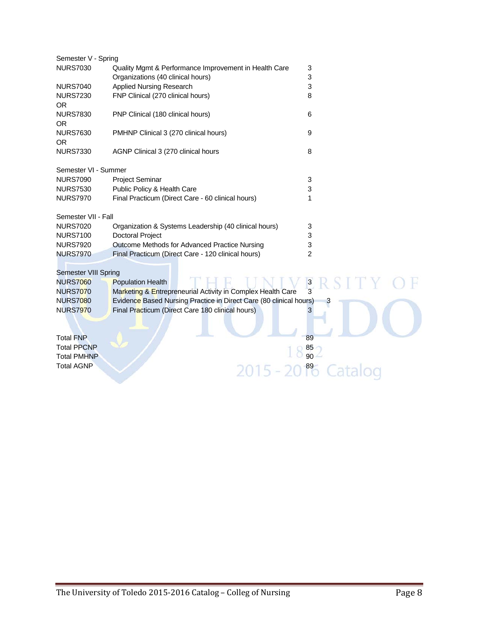| Semester V - Spring                      |                                                                    |          |
|------------------------------------------|--------------------------------------------------------------------|----------|
| <b>NURS7030</b>                          | Quality Mgmt & Performance Improvement in Health Care              | 3        |
|                                          | Organizations (40 clinical hours)                                  | 3        |
| <b>NURS7040</b>                          | <b>Applied Nursing Research</b>                                    | 3        |
| <b>NURS7230</b>                          | FNP Clinical (270 clinical hours)                                  | 8        |
| <b>OR</b>                                |                                                                    |          |
| <b>NURS7830</b>                          | PNP Clinical (180 clinical hours)                                  | 6        |
| <b>OR</b>                                |                                                                    |          |
| <b>NURS7630</b>                          | PMHNP Clinical 3 (270 clinical hours)                              | 9        |
| <b>OR</b>                                |                                                                    |          |
| <b>NURS7330</b>                          | AGNP Clinical 3 (270 clinical hours                                | 8        |
|                                          |                                                                    |          |
| Semester VI - Summer                     |                                                                    |          |
| <b>NURS7090</b>                          | <b>Project Seminar</b>                                             | 3        |
| <b>NURS7530</b>                          | Public Policy & Health Care                                        | 3        |
| <b>NURS7970</b>                          | Final Practicum (Direct Care - 60 clinical hours)                  | 1        |
|                                          |                                                                    |          |
| Semester VII - Fall                      |                                                                    |          |
| <b>NURS7020</b>                          | Organization & Systems Leadership (40 clinical hours)              | 3        |
| <b>NURS7100</b>                          | <b>Doctoral Project</b>                                            | 3        |
| <b>NURS7920</b>                          | Outcome Methods for Advanced Practice Nursing                      | 3        |
| <b>NURS7970</b>                          | Final Practicum (Direct Care - 120 clinical hours)                 | 2        |
|                                          |                                                                    |          |
| <b>Semester VIII Spring</b>              |                                                                    |          |
| <b>NURS7060</b>                          | <b>Population Health</b>                                           | 3        |
| <b>NURS7070</b>                          | Marketing & Entrepreneurial Activity in Complex Health Care        | 3        |
| <b>NURS7080</b>                          | Evidence Based Nursing Practice in Direct Care (80 clinical hours) | З        |
| <b>NURS7970</b>                          | Final Practicum (Direct Care 180 clinical hours)                   | 3        |
|                                          |                                                                    |          |
|                                          |                                                                    | 89       |
| <b>Total FNP</b>                         |                                                                    |          |
| <b>Total PPCNP</b><br><b>Total PMHNP</b> |                                                                    | 85<br>90 |
|                                          |                                                                    |          |
| <b>Total AGNP</b>                        |                                                                    |          |
|                                          |                                                                    |          |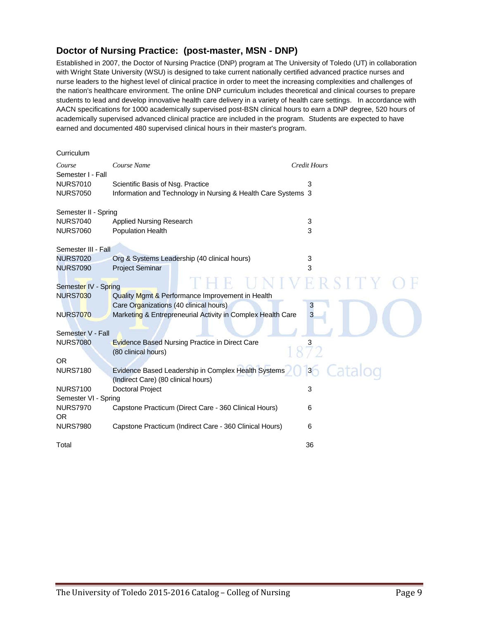### **Doctor of Nursing Practice: (post-master, MSN - DNP)**

Established in 2007, the Doctor of Nursing Practice (DNP) program at The University of Toledo (UT) in collaboration with Wright State University (WSU) is designed to take current nationally certified advanced practice nurses and nurse leaders to the highest level of clinical practice in order to meet the increasing complexities and challenges of the nation's healthcare environment. The online DNP curriculum includes theoretical and clinical courses to prepare students to lead and develop innovative health care delivery in a variety of health care settings. In accordance with AACN specifications for 1000 academically supervised post-BSN clinical hours to earn a DNP degree, 520 hours of academically supervised advanced clinical practice are included in the program. Students are expected to have earned and documented 480 supervised clinical hours in their master's program.

| Curriculum                   |                                                                                            |                     |
|------------------------------|--------------------------------------------------------------------------------------------|---------------------|
| Course<br>Semester I - Fall  | Course Name                                                                                | <b>Credit Hours</b> |
| <b>NURS7010</b>              | Scientific Basis of Nsg. Practice                                                          | 3                   |
| <b>NURS7050</b>              | Information and Technology in Nursing & Health Care Systems 3                              |                     |
| Semester II - Spring         |                                                                                            |                     |
| <b>NURS7040</b>              | Applied Nursing Research                                                                   | 3                   |
| <b>NURS7060</b>              | <b>Population Health</b>                                                                   | 3                   |
| Semester III - Fall          |                                                                                            |                     |
| <b>NURS7020</b>              | Org & Systems Leadership (40 clinical hours)                                               | 3                   |
| <b>NURS7090</b>              | <b>Project Seminar</b>                                                                     | 3                   |
| Semester IV - Spring         |                                                                                            |                     |
| <b>NURS7030</b>              | Quality Mgmt & Performance Improvement in Health                                           |                     |
|                              | Care Organizations (40 clinical hours)                                                     | 3                   |
| <b>NURS7070</b>              | Marketing & Entrepreneurial Activity in Complex Health Care                                | 3                   |
| Semester V - Fall            |                                                                                            |                     |
| <b>NURS7080</b>              | <b>Evidence Based Nursing Practice in Direct Care</b>                                      | 3                   |
|                              | (80 clinical hours)                                                                        |                     |
| <b>OR</b>                    |                                                                                            |                     |
| <b>NURS7180</b>              | Evidence Based Leadership in Complex Health Systems<br>(Indirect Care) (80 clinical hours) | $\mathbf{3}$        |
| <b>NURS7100</b>              | <b>Doctoral Project</b>                                                                    | 3                   |
| Semester VI - Spring         |                                                                                            |                     |
| <b>NURS7970</b><br><b>OR</b> | Capstone Practicum (Direct Care - 360 Clinical Hours)                                      | 6                   |
| <b>NURS7980</b>              | Capstone Practicum (Indirect Care - 360 Clinical Hours)                                    | 6                   |
| Total                        |                                                                                            | 36                  |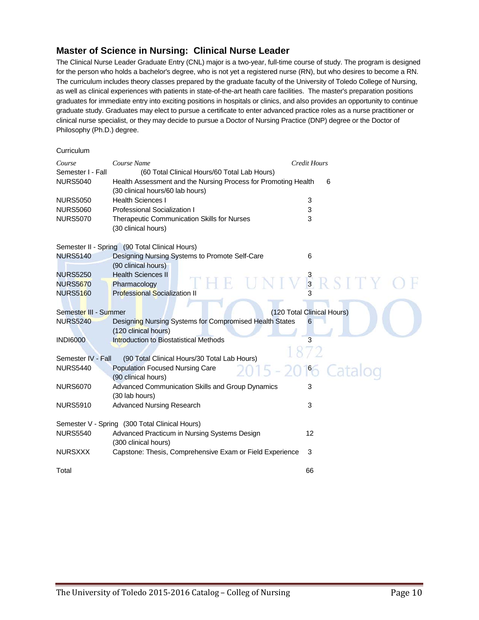#### **Master of Science in Nursing: Clinical Nurse Leader**

The Clinical Nurse Leader Graduate Entry (CNL) major is a two-year, full-time course of study. The program is designed for the person who holds a bachelor's degree, who is not yet a registered nurse (RN), but who desires to become a RN. The curriculum includes theory classes prepared by the graduate faculty of the University of Toledo College of Nursing, as well as clinical experiences with patients in state-of-the-art heath care facilities. The master's preparation positions graduates for immediate entry into exciting positions in hospitals or clinics, and also provides an opportunity to continue graduate study. Graduates may elect to pursue a certificate to enter advanced practice roles as a nurse practitioner or clinical nurse specialist, or they may decide to pursue a Doctor of Nursing Practice (DNP) degree or the Doctor of Philosophy (Ph.D.) degree.

#### **Curriculum**

| Course                | Course Name                                                    | <b>Credit Hours</b>        |
|-----------------------|----------------------------------------------------------------|----------------------------|
| Semester I - Fall     | (60 Total Clinical Hours/60 Total Lab Hours)                   |                            |
| <b>NURS5040</b>       | Health Assessment and the Nursing Process for Promoting Health | 6                          |
|                       | (30 clinical hours/60 lab hours)                               |                            |
| <b>NURS5050</b>       | <b>Health Sciences I</b>                                       | 3                          |
| <b>NURS5060</b>       | <b>Professional Socialization I</b>                            | 3                          |
| <b>NURS5070</b>       | Therapeutic Communication Skills for Nurses                    | 3                          |
|                       | (30 clinical hours)                                            |                            |
|                       |                                                                |                            |
|                       | Semester II - Spring (90 Total Clinical Hours)                 |                            |
| <b>NURS5140</b>       | Designing Nursing Systems to Promote Self-Care                 | 6                          |
|                       | (90 clinical hours)                                            |                            |
| <b>NURS5250</b>       | <b>Health Sciences II</b>                                      |                            |
| <b>NURS5670</b>       | Pharmacology                                                   | $\frac{3}{3}$              |
| <b>NURS5160</b>       | <b>Professional Socialization II</b>                           |                            |
|                       |                                                                |                            |
| Semester III - Summer |                                                                | (120 Total Clinical Hours) |
| <b>NURS5240</b>       | Designing Nursing Systems for Compromised Health States        | 6                          |
|                       | (120 clinical hours)                                           |                            |
| <b>INDI6000</b>       | <b>Introduction to Biostatistical Methods</b>                  | 3                          |
|                       |                                                                |                            |
| Semester IV - Fall    | (90 Total Clinical Hours/30 Total Lab Hours)                   |                            |
| <b>NURS5440</b>       | <b>Population Focused Nursing Care</b>                         | $6\degree$                 |
|                       | (90 clinical hours)                                            |                            |
| <b>NURS6070</b>       | Advanced Communication Skills and Group Dynamics               | 3                          |
|                       | (30 lab hours)                                                 |                            |
| <b>NURS5910</b>       | <b>Advanced Nursing Research</b>                               | 3                          |
|                       |                                                                |                            |
|                       | Semester V - Spring (300 Total Clinical Hours)                 |                            |
| <b>NURS5540</b>       | Advanced Practicum in Nursing Systems Design                   | 12                         |
|                       | (300 clinical hours)                                           |                            |
| <b>NURSXXX</b>        | Capstone: Thesis, Comprehensive Exam or Field Experience       | 3                          |
|                       |                                                                |                            |
| Total                 |                                                                | 66                         |
|                       |                                                                |                            |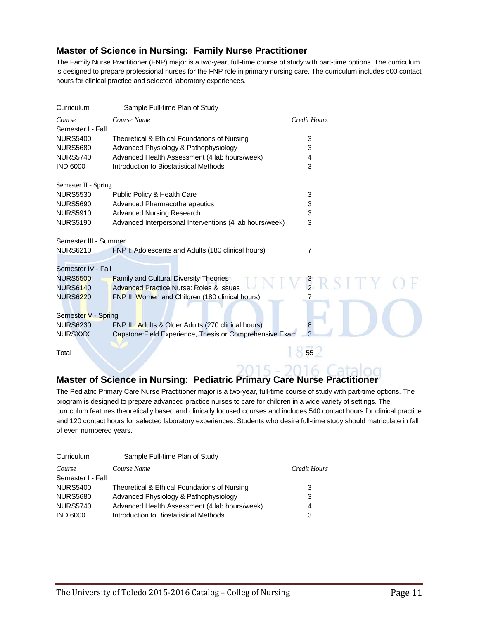#### **Master of Science in Nursing: Family Nurse Practitioner**

The Family Nurse Practitioner (FNP) major is a two-year, full-time course of study with part-time options. The curriculum is designed to prepare professional nurses for the FNP role in primary nursing care. The curriculum includes 600 contact hours for clinical practice and selected laboratory experiences.

| Curriculum            | Sample Full-time Plan of Study                           |                     |
|-----------------------|----------------------------------------------------------|---------------------|
| Course                | Course Name                                              | <b>Credit Hours</b> |
| Semester I - Fall     |                                                          |                     |
| <b>NURS5400</b>       | Theoretical & Ethical Foundations of Nursing             | 3                   |
| <b>NURS5680</b>       | Advanced Physiology & Pathophysiology                    | 3                   |
| <b>NURS5740</b>       | Advanced Health Assessment (4 lab hours/week)            | 4                   |
| <b>INDI6000</b>       | Introduction to Biostatistical Methods                   | 3                   |
| Semester II - Spring  |                                                          |                     |
| <b>NURS5530</b>       | Public Policy & Health Care                              | 3                   |
| <b>NURS5690</b>       | Advanced Pharmacotherapeutics                            | 3                   |
| <b>NURS5910</b>       | <b>Advanced Nursing Research</b>                         | 3                   |
| <b>NURS5190</b>       | Advanced Interpersonal Interventions (4 lab hours/week)  | 3                   |
| Semester III - Summer |                                                          |                     |
| <b>NURS6210</b>       | FNP I: Adolescents and Adults (180 clinical hours)       | 7                   |
|                       |                                                          |                     |
| Semester IV - Fall    |                                                          |                     |
| <b>NURS5500</b>       | <b>Family and Cultural Diversity Theories</b>            | RSITY               |
| <b>NURS6140</b>       | Advanced Practice Nurse: Roles & Issues                  |                     |
| <b>NURS6220</b>       | FNP II: Women and Children (180 clinical hours)          |                     |
| Semester V - Spring   |                                                          |                     |
| <b>NURS6230</b>       | FNP III: Adults & Older Adults (270 clinical hours)      | 8                   |
| <b>NURSXXX</b>        | Capstone: Field Experience, Thesis or Comprehensive Exam |                     |
|                       |                                                          |                     |
| Total                 |                                                          | 55                  |
|                       |                                                          |                     |

# **Master of Science in Nursing: Pediatric Primary Care Nurse Practitioner**

The Pediatric Primary Care Nurse Practitioner major is a two-year, full-time course of study with part-time options. The program is designed to prepare advanced practice nurses to care for children in a wide variety of settings. The curriculum features theoretically based and clinically focused courses and includes 540 contact hours for clinical practice and 120 contact hours for selected laboratory experiences. Students who desire full-time study should matriculate in fall of even numbered years.

| Curriculum        | Sample Full-time Plan of Study                |              |
|-------------------|-----------------------------------------------|--------------|
| Course            | Course Name                                   | Credit Hours |
| Semester I - Fall |                                               |              |
| <b>NURS5400</b>   | Theoretical & Ethical Foundations of Nursing  | 3            |
| <b>NURS5680</b>   | Advanced Physiology & Pathophysiology         | 3            |
| <b>NURS5740</b>   | Advanced Health Assessment (4 lab hours/week) | 4            |
| <b>INDI6000</b>   | Introduction to Biostatistical Methods        | 3            |
|                   |                                               |              |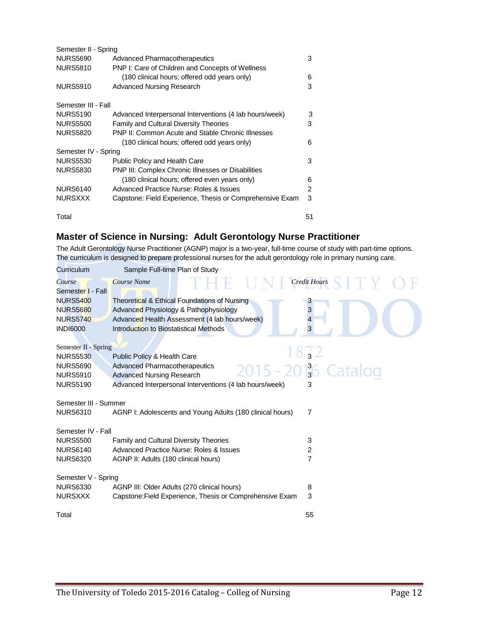| Semester II - Spring |                                                           |                |
|----------------------|-----------------------------------------------------------|----------------|
| <b>NURS5690</b>      | Advanced Pharmacotherapeutics                             | 3              |
| <b>NURS5810</b>      | PNP I: Care of Children and Concepts of Wellness          |                |
|                      | (180 clinical hours; offered odd years only)              | 6              |
| <b>NURS5910</b>      | <b>Advanced Nursing Research</b>                          | 3              |
| Semester III - Fall  |                                                           |                |
| <b>NURS5190</b>      | Advanced Interpersonal Interventions (4 lab hours/week)   | 3              |
| <b>NURS5500</b>      | <b>Family and Cultural Diversity Theories</b>             | 3              |
| <b>NURS5820</b>      | PNP II: Common Acute and Stable Chronic Illnesses         |                |
|                      | (180 clinical hours; offered odd years only)              | 6              |
| Semester IV - Spring |                                                           |                |
| <b>NURS5530</b>      | Public Policy and Health Care                             | 3              |
| <b>NURS5830</b>      | <b>PNP III: Complex Chronic IIInesses or Disabilities</b> |                |
|                      | (180 clinical hours; offered even years only)             | 6              |
| <b>NURS6140</b>      | Advanced Practice Nurse: Roles & Issues                   | $\overline{c}$ |
| <b>NURSXXX</b>       | Capstone: Field Experience, Thesis or Comprehensive Exam  | 3              |
| Total                |                                                           | 51             |

### **Master of Science in Nursing: Adult Gerontology Nurse Practitioner**

The Adult Gerontology Nurse Practitioner (AGNP) major is a two-year, full-time course of study with part-time options. The curriculum is designed to prepare professional nurses for the adult gerontology role in primary nursing care.

| Curriculum            | Sample Full-time Plan of Study                                         |
|-----------------------|------------------------------------------------------------------------|
| Course                | <b>Credit Hours</b><br>Course Name                                     |
| Semester I - Fall     |                                                                        |
| <b>NURS5400</b>       | Theoretical & Ethical Foundations of Nursing                           |
| <b>NURS5680</b>       | $\overline{3}$<br>Advanced Physiology & Pathophysiology                |
| <b>NURS5740</b>       | Advanced Health Assessment (4 lab hours/week)                          |
| <b>INDI6000</b>       | 3<br>Introduction to Biostatistical Methods                            |
|                       |                                                                        |
| Semester II - Spring  |                                                                        |
| <b>NURS5530</b>       | Public Policy & Health Care                                            |
| <b>NURS5690</b>       | <b>Advanced Pharmacotherapeutics</b><br>$2015 - 20\frac{3}{3}$ Catalog |
| <b>NURS5910</b>       | <b>Advanced Nursing Research</b>                                       |
| <b>NURS5190</b>       | Advanced Interpersonal Interventions (4 lab hours/week)<br>3           |
|                       |                                                                        |
| Semester III - Summer |                                                                        |
| <b>NURS6310</b>       | AGNP I: Adolescents and Young Adults (180 clinical hours)<br>7         |
| Semester IV - Fall    |                                                                        |
| <b>NURS5500</b>       | <b>Family and Cultural Diversity Theories</b><br>3                     |
| <b>NURS6140</b>       | <b>Advanced Practice Nurse: Roles &amp; Issues</b><br>2                |
| <b>NURS6320</b>       | $\overline{7}$<br>AGNP II: Adults (180 clinical hours)                 |
|                       |                                                                        |
| Semester V - Spring   |                                                                        |
| <b>NURS6330</b>       | AGNP III: Older Adults (270 clinical hours)<br>8                       |
| <b>NURSXXX</b>        | 3<br>Capstone: Field Experience, Thesis or Comprehensive Exam          |
|                       |                                                                        |
| Total                 | 55                                                                     |
|                       |                                                                        |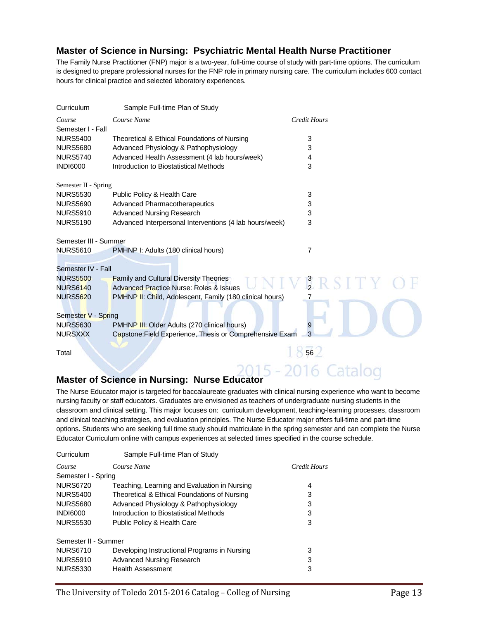#### **Master of Science in Nursing: Psychiatric Mental Health Nurse Practitioner**

The Family Nurse Practitioner (FNP) major is a two-year, full-time course of study with part-time options. The curriculum is designed to prepare professional nurses for the FNP role in primary nursing care. The curriculum includes 600 contact hours for clinical practice and selected laboratory experiences.

| Sample Full-time Plan of Study                           |                                                                                                                                                                                                                                                              |
|----------------------------------------------------------|--------------------------------------------------------------------------------------------------------------------------------------------------------------------------------------------------------------------------------------------------------------|
| Course Name                                              | <b>Credit Hours</b>                                                                                                                                                                                                                                          |
|                                                          |                                                                                                                                                                                                                                                              |
| Theoretical & Ethical Foundations of Nursing             | 3                                                                                                                                                                                                                                                            |
| Advanced Physiology & Pathophysiology                    | 3                                                                                                                                                                                                                                                            |
| Advanced Health Assessment (4 lab hours/week)            | 4                                                                                                                                                                                                                                                            |
| Introduction to Biostatistical Methods                   | 3                                                                                                                                                                                                                                                            |
|                                                          |                                                                                                                                                                                                                                                              |
| Public Policy & Health Care                              | 3                                                                                                                                                                                                                                                            |
| <b>Advanced Pharmacotherapeutics</b>                     | 3                                                                                                                                                                                                                                                            |
| <b>Advanced Nursing Research</b>                         | 3                                                                                                                                                                                                                                                            |
| Advanced Interpersonal Interventions (4 lab hours/week)  | 3                                                                                                                                                                                                                                                            |
|                                                          |                                                                                                                                                                                                                                                              |
| PMHNP I: Adults (180 clinical hours)                     | 7                                                                                                                                                                                                                                                            |
|                                                          |                                                                                                                                                                                                                                                              |
|                                                          |                                                                                                                                                                                                                                                              |
| <b>Family and Cultural Diversity Theories</b>            | NIVERSITY O                                                                                                                                                                                                                                                  |
|                                                          |                                                                                                                                                                                                                                                              |
| PMHNP II: Child, Adolescent, Family (180 clinical hours) |                                                                                                                                                                                                                                                              |
|                                                          |                                                                                                                                                                                                                                                              |
|                                                          |                                                                                                                                                                                                                                                              |
|                                                          |                                                                                                                                                                                                                                                              |
|                                                          | 3                                                                                                                                                                                                                                                            |
|                                                          | 56                                                                                                                                                                                                                                                           |
|                                                          |                                                                                                                                                                                                                                                              |
|                                                          | Semester II - Spring<br>Semester III - Summer<br>Semester IV - Fall<br><b>Advanced Practice Nurse: Roles &amp; Issues</b><br>Semester V - Spring<br>PMHNP III: Older Adults (270 clinical hours)<br>Capstone: Field Experience, Thesis or Comprehensive Exam |

# **Master of Science in Nursing: Nurse Educator**

The Nurse Educator major is targeted for baccalaureate graduates with clinical nursing experience who want to become nursing faculty or staff educators. Graduates are envisioned as teachers of undergraduate nursing students in the classroom and clinical setting. This major focuses on: curriculum development, teaching-learning processes, classroom and clinical teaching strategies, and evaluation principles. The Nurse Educator major offers full-time and part-time options. Students who are seeking full time study should matriculate in the spring semester and can complete the Nurse Educator Curriculum online with campus experiences at selected times specified in the course schedule.

| Curriculum           | Sample Full-time Plan of Study               |              |
|----------------------|----------------------------------------------|--------------|
| Course               | Course Name                                  | Credit Hours |
| Semester I - Spring  |                                              |              |
| <b>NURS6720</b>      | Teaching, Learning and Evaluation in Nursing | 4            |
| <b>NURS5400</b>      | Theoretical & Ethical Foundations of Nursing | 3            |
| <b>NURS5680</b>      | Advanced Physiology & Pathophysiology        | 3            |
| <b>INDI6000</b>      | Introduction to Biostatistical Methods       | 3            |
| <b>NURS5530</b>      | Public Policy & Health Care                  | 3            |
| Semester II - Summer |                                              |              |
| <b>NURS6710</b>      | Developing Instructional Programs in Nursing | 3            |
| <b>NURS5910</b>      | <b>Advanced Nursing Research</b>             | 3            |
| <b>NURS5330</b>      | <b>Health Assessment</b>                     | 3            |
|                      |                                              |              |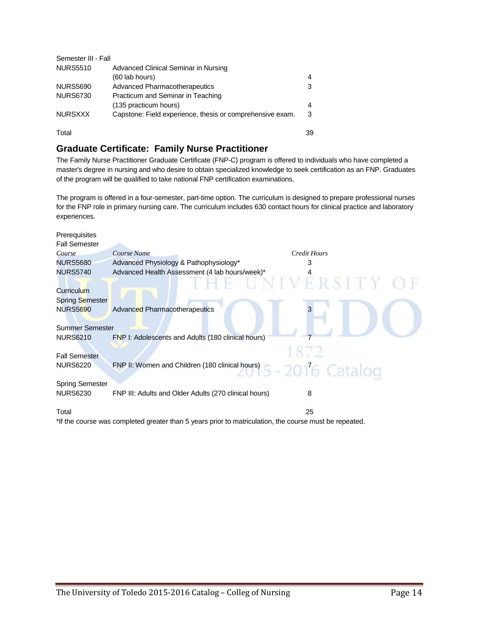| Semester III - Fall |                                                           |    |
|---------------------|-----------------------------------------------------------|----|
| <b>NURS5510</b>     | Advanced Clinical Seminar in Nursing                      |    |
|                     | (60 lab hours)                                            | 4  |
| <b>NURS5690</b>     | <b>Advanced Pharmacotherapeutics</b>                      | 3  |
| <b>NURS6730</b>     | Practicum and Seminar in Teaching                         |    |
|                     | (135 practicum hours)                                     | 4  |
| <b>NURSXXX</b>      | Capstone: Field experience, thesis or comprehensive exam. | 3  |
| Total               |                                                           | 39 |

#### **Graduate Certificate: Family Nurse Practitioner**

The Family Nurse Practitioner Graduate Certificate (FNP-C) program is offered to individuals who have completed a master's degree in nursing and who desire to obtain specialized knowledge to seek certification as an FNP. Graduates of the program will be qualified to take national FNP certification examinations.

The program is offered in a four-semester, part-time option. The curriculum is designed to prepare professional nurses for the FNP role in primary nursing care. The curriculum includes 630 contact hours for clinical practice and laboratory experiences.

| Course Name                                           | Credit Hours                                                                                                                                                                        |
|-------------------------------------------------------|-------------------------------------------------------------------------------------------------------------------------------------------------------------------------------------|
| Advanced Physiology & Pathophysiology*                | 3                                                                                                                                                                                   |
| Advanced Health Assessment (4 lab hours/week)*        |                                                                                                                                                                                     |
|                                                       | ERSITY<br>NIV                                                                                                                                                                       |
|                                                       |                                                                                                                                                                                     |
|                                                       |                                                                                                                                                                                     |
|                                                       |                                                                                                                                                                                     |
|                                                       |                                                                                                                                                                                     |
|                                                       |                                                                                                                                                                                     |
|                                                       |                                                                                                                                                                                     |
|                                                       |                                                                                                                                                                                     |
|                                                       |                                                                                                                                                                                     |
|                                                       |                                                                                                                                                                                     |
|                                                       |                                                                                                                                                                                     |
| FNP III: Adults and Older Adults (270 clinical hours) | 8                                                                                                                                                                                   |
|                                                       |                                                                                                                                                                                     |
|                                                       | 25                                                                                                                                                                                  |
|                                                       | Advanced Pharmacotherapeutics<br><b>Summer Semester</b><br>FNP I: Adolescents and Adults (180 clinical hours)<br>FNP II: Women and Children (180 clinical hours) $5 - 2016$ Catalog |

\*If the course was completed greater than 5 years prior to matriculation, the course must be repeated.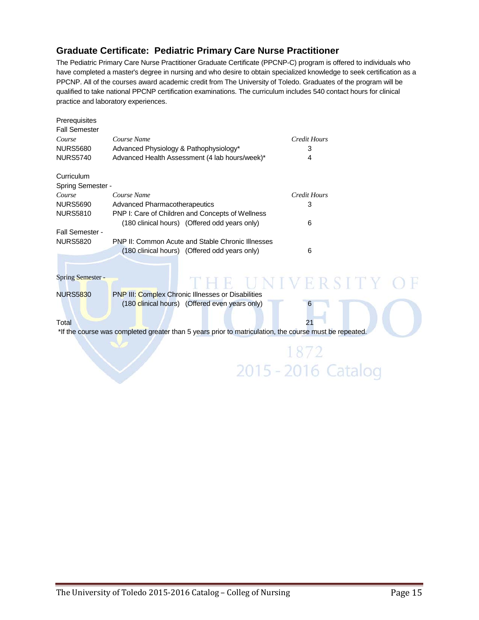### **Graduate Certificate: Pediatric Primary Care Nurse Practitioner**

The Pediatric Primary Care Nurse Practitioner Graduate Certificate (PPCNP-C) program is offered to individuals who have completed a master's degree in nursing and who desire to obtain specialized knowledge to seek certification as a PPCNP. All of the courses award academic credit from The University of Toledo. Graduates of the program will be qualified to take national PPCNP certification examinations. The curriculum includes 540 contact hours for clinical practice and laboratory experiences.

| Prerequisites<br><b>Fall Semester</b> |                                                          |                     |  |
|---------------------------------------|----------------------------------------------------------|---------------------|--|
| Course                                | Course Name                                              | Credit Hours        |  |
| <b>NURS5680</b>                       | Advanced Physiology & Pathophysiology*                   | 3                   |  |
| <b>NURS5740</b>                       | Advanced Health Assessment (4 lab hours/week)*           | 4                   |  |
| Curriculum                            |                                                          |                     |  |
| Spring Semester -                     |                                                          |                     |  |
| Course                                | Course Name                                              | <b>Credit Hours</b> |  |
| <b>NURS5690</b>                       | <b>Advanced Pharmacotherapeutics</b>                     | 3                   |  |
| <b>NURS5810</b>                       | PNP I: Care of Children and Concepts of Wellness         |                     |  |
|                                       | (180 clinical hours) (Offered odd years only)            | 6                   |  |
| Fall Semester -                       |                                                          |                     |  |
| <b>NURS5820</b>                       | <b>PNP II: Common Acute and Stable Chronic Illnesses</b> |                     |  |
|                                       | (180 clinical hours) (Offered odd years only)            | 6                   |  |
|                                       |                                                          |                     |  |
| Spring Semester -                     |                                                          |                     |  |

NURS5830 PNP III: Complex Chronic Illnesses or Disabilities (180 clinical hours) (Offered even years only) 6

#### Total 21 and 21 and 21 and 21 and 22 and 22 and 22 and 22 and 23 and 23 and 23 and 23 and 23 and 23 and 24 and 25 and 25 and 25 and 25 and 25 and 25 and 25 and 25 and 25 and 25 and 25 and 25 and 25 and 25 and 25 and 25 and

\*If the course was completed greater than 5 years prior to matriculation, the course must be repeated.

1872 2015 - 2016 Catalog